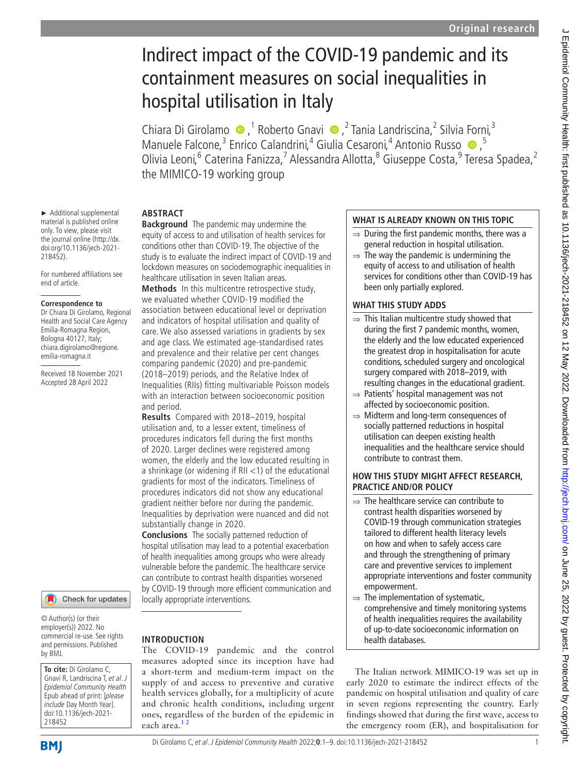# Indirect impact of the COVID-19 pandemic and its containment measures on social inequalities in hospital utilisation in Italy

ChiaraDi Girolamo  $\bullet$ ,<sup>1</sup> Roberto Gnavi  $\bullet$ ,<sup>2</sup> Tania Landriscina,<sup>2</sup> Silvia Forni,<sup>3</sup> ManueleFalcone,<sup>3</sup> Enrico Calandrini,<sup>4</sup> Giulia Cesaroni,<sup>4</sup> Antonio Russo · 5 Olivia Leoni,<sup>6</sup> Caterina Fanizza,<sup>7</sup> Alessandra Allotta,<sup>8</sup> Giuseppe Costa,<sup>9</sup> Teresa Spadea,<sup>2</sup> the MIMICO-19 working group

## **Abstract**

► Additional supplemental material is published online only. To view, please visit the journal online [\(http://dx.](http://dx.doi.org/10.1136/jech-2021-218452) [doi.org/10.1136/jech-2021-](http://dx.doi.org/10.1136/jech-2021-218452)

For numbered affiliations see

Received 18 November 2021 Accepted 28 April 2022

[218452](http://dx.doi.org/10.1136/jech-2021-218452)).

end of article.

**Correspondence to** Dr Chiara Di Girolamo, Regional Health and Social Care Agency Emilia-Romagna Region, Bologna 40127, Italy; chiara.digirolamo@regione. emilia-romagna.it

**Background** The pandemic may undermine the equity of access to and utilisation of health services for conditions other than COVID-19. The objective of the study is to evaluate the indirect impact of COVID-19 and lockdown measures on sociodemographic inequalities in healthcare utilisation in seven Italian areas.

**Methods** In this multicentre retrospective study, we evaluated whether COVID-19 modified the association between educational level or deprivation and indicators of hospital utilisation and quality of care. We also assessed variations in gradients by sex and age class. We estimated age-standardised rates and prevalence and their relative per cent changes comparing pandemic (2020) and pre-pandemic (2018–2019) periods, and the Relative Index of Inequalities (RIIs) fitting multivariable Poisson models with an interaction between socioeconomic position and period.

**Results** Compared with 2018–2019, hospital utilisation and, to a lesser extent, timeliness of procedures indicators fell during the first months of 2020. Larger declines were registered among women, the elderly and the low educated resulting in a shrinkage (or widening if  $RII < 1$ ) of the educational gradients for most of the indicators. Timeliness of procedures indicators did not show any educational gradient neither before nor during the pandemic. Inequalities by deprivation were nuanced and did not substantially change in 2020.

**Conclusions** The socially patterned reduction of hospital utilisation may lead to a potential exacerbation of health inequalities among groups who were already vulnerable before the pandemic. The healthcare service can contribute to contrast health disparities worsened by COVID-19 through more efficient communication and locally appropriate interventions.

The COVID-19 pandemic and the control measures adopted since its inception have had a short-term and medium-term impact on the supply of and access to preventive and curative health services globally, for a multiplicity of acute and chronic health conditions, including urgent ones, regardless of the burden of the epidemic in

**Introduction**

each area.<sup>12</sup>

#### © Author(s) (or their employer(s)) 2022. No commercial re-use. See rights and permissions. Published by BMJ.

Check for updates

**To cite:** Di Girolamo C, Gnavi R, Landriscina T, et al. J Epidemiol Community Health Epub ahead of print: [please include Day Month Year]. doi:10.1136/jech-2021- 218452

# **BMI**

Di Girolamo C, et al. J Epidemiol Community Health 2022;**0**:1–9. doi:10.1136/jech-2021-218452 1

## **WHAT IS ALREADY KNOWN ON THIS TOPIC**

- $\Rightarrow$  During the first pandemic months, there was a general reduction in hospital utilisation.
- $\Rightarrow$  The way the pandemic is undermining the equity of access to and utilisation of health services for conditions other than COVID-19 has been only partially explored.

## **WHAT THIS STUDY ADDS**

- $\Rightarrow$  This Italian multicentre study showed that during the first 7 pandemic months, women, the elderly and the low educated experienced the greatest drop in hospitalisation for acute conditions, scheduled surgery and oncological surgery compared with 2018–2019, with resulting changes in the educational gradient.
- ⇒ Patients' hospital management was not affected by socioeconomic position.
- ⇒ Midterm and long-term consequences of socially patterned reductions in hospital utilisation can deepen existing health inequalities and the healthcare service should contribute to contrast them.

## **HOW THIS STUDY MIGHT AFFECT RESEARCH, PRACTICE AND/OR POLICY**

- $\Rightarrow$  The healthcare service can contribute to contrast health disparities worsened by COVID-19 through communication strategies tailored to different health literacy levels on how and when to safely access care and through the strengthening of primary care and preventive services to implement appropriate interventions and foster community empowerment.
- $\Rightarrow$  The implementation of systematic, comprehensive and timely monitoring systems of health inequalities requires the availability of up-to-date socioeconomic information on health databases.

The Italian network MIMICO-19 was set up in early 2020 to estimate the indirect effects of the pandemic on hospital utilisation and quality of care in seven regions representing the country. Early findings showed that during the first wave, access to the emergency room (ER), and hospitalisation for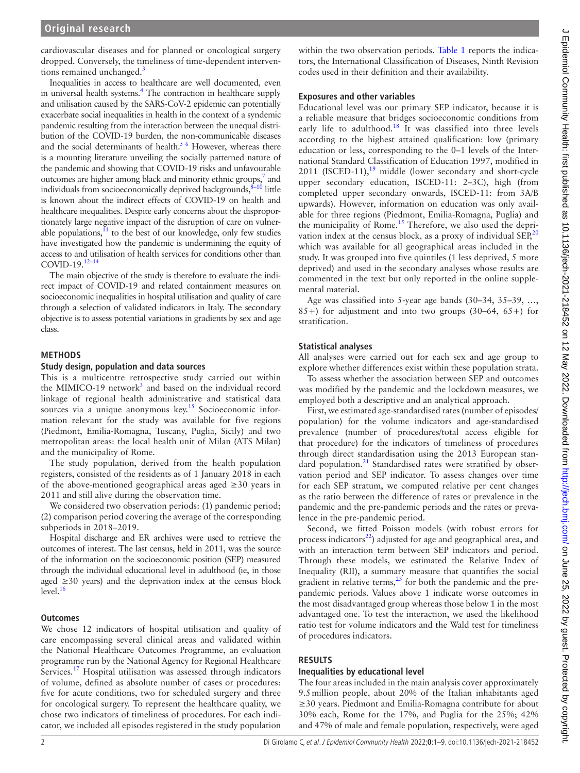cardiovascular diseases and for planned or oncological surgery dropped. Conversely, the timeliness of time-dependent interven-tions remained unchanged.<sup>[3](#page-8-1)</sup>

Inequalities in access to healthcare are well documented, even in universal health systems.<sup>4</sup> The contraction in healthcare supply and utilisation caused by the SARS-CoV-2 epidemic can potentially exacerbate social inequalities in health in the context of a syndemic pandemic resulting from the interaction between the unequal distribution of the COVID-19 burden, the non-communicable diseases and the social determinants of health.<sup>5 6</sup> However, whereas there is a mounting literature unveiling the socially patterned nature of the pandemic and showing that COVID-19 risks and unfavourable outcomes are higher among black and minority ethnic groups,<sup>7</sup> and individuals from socioeconomically deprived backgrounds, $8-10$  little is known about the indirect effects of COVID-19 on health and healthcare inequalities. Despite early concerns about the disproportionately large negative impact of the disruption of care on vulnerable populations, $11$  to the best of our knowledge, only few studies have investigated how the pandemic is undermining the equity of access to and utilisation of health services for conditions other than COVID-19.<sup>12-14</sup>

The main objective of the study is therefore to evaluate the indirect impact of COVID-19 and related containment measures on socioeconomic inequalities in hospital utilisation and quality of care through a selection of validated indicators in Italy. The secondary objective is to assess potential variations in gradients by sex and age class.

#### **Methods**

#### **Study design, population and data sources**

This is a multicentre retrospective study carried out within the MIMICO-19 network<sup>[3](#page-8-1)</sup> and based on the individual record linkage of regional health administrative and statistical data sources via a unique anonymous  $key<sup>15</sup>$  Socioeconomic information relevant for the study was available for five regions (Piedmont, Emilia-Romagna, Tuscany, Puglia, Sicily) and two metropolitan areas: the local health unit of Milan (ATS Milan) and the municipality of Rome.

The study population, derived from the health population registers, consisted of the residents as of 1 January 2018 in each of the above-mentioned geographical areas aged ≥30 years in 2011 and still alive during the observation time.

We considered two observation periods: (1) pandemic period; (2) comparison period covering the average of the corresponding subperiods in 2018–2019.

Hospital discharge and ER archives were used to retrieve the outcomes of interest. The last census, held in 2011, was the source of the information on the socioeconomic position (SEP) measured through the individual educational level in adulthood (ie, in those aged ≥30 years) and the deprivation index at the census block level.<sup>16</sup>

#### **Outcomes**

We chose 12 indicators of hospital utilisation and quality of care encompassing several clinical areas and validated within the National Healthcare Outcomes Programme, an evaluation programme run by the National Agency for Regional Healthcare Services.<sup>17</sup> Hospital utilisation was assessed through indicators of volume, defined as absolute number of cases or procedures: five for acute conditions, two for scheduled surgery and three for oncological surgery. To represent the healthcare quality, we chose two indicators of timeliness of procedures. For each indicator, we included all episodes registered in the study population

within the two observation periods. [Table](#page-2-0) 1 reports the indicators, the International Classification of Diseases, Ninth Revision codes used in their definition and their availability.

#### **Exposures and other variables**

Educational level was our primary SEP indicator, because it is a reliable measure that bridges socioeconomic conditions from early life to adulthood.<sup>[18](#page-8-11)</sup> It was classified into three levels according to the highest attained qualification: low (primary education or less, corresponding to the 0–1 levels of the International Standard Classification of Education 1997, modified in 2011 (ISCED-11), $19$  middle (lower secondary and short-cycle upper secondary education, ISCED-11: 2–3C), high (from completed upper secondary onwards, ISCED-11: from 3A/B upwards). However, information on education was only available for three regions (Piedmont, Emilia-Romagna, Puglia) and the municipality of Rome.<sup>15</sup> Therefore, we also used the depri-vation index at the census block, as a proxy of individual SEP,<sup>[20](#page-8-13)</sup> which was available for all geographical areas included in the study. It was grouped into five quintiles (1 less deprived, 5 more deprived) and used in the secondary analyses whose results are commented in the text but only reported in the [online supple](https://dx.doi.org/10.1136/jech-2021-218452)[mental material.](https://dx.doi.org/10.1136/jech-2021-218452)

Age was classified into 5-year age bands (30–34, 35–39, …, 85+) for adjustment and into two groups (30–64, 65+) for stratification.

#### **Statistical analyses**

All analyses were carried out for each sex and age group to explore whether differences exist within these population strata.

To assess whether the association between SEP and outcomes was modified by the pandemic and the lockdown measures, we employed both a descriptive and an analytical approach.

First, we estimated age-standardised rates (number of episodes/ population) for the volume indicators and age-standardised prevalence (number of procedures/total access eligible for that procedure) for the indicators of timeliness of procedures through direct standardisation using the 2013 European stan-dard population.<sup>[21](#page-8-14)</sup> Standardised rates were stratified by observation period and SEP indicator. To assess changes over time for each SEP stratum, we computed relative per cent changes as the ratio between the difference of rates or prevalence in the pandemic and the pre-pandemic periods and the rates or prevalence in the pre-pandemic period.

Second, we fitted Poisson models (with robust errors for process indicators $^{22}$ ) adjusted for age and geographical area, and with an interaction term between SEP indicators and period. Through these models, we estimated the Relative Index of Inequality (RII), a summary measure that quantifies the social gradient in relative terms,  $23$  for both the pandemic and the prepandemic periods. Values above 1 indicate worse outcomes in the most disadvantaged group whereas those below 1 in the most advantaged one. To test the interaction, we used the likelihood ratio test for volume indicators and the Wald test for timeliness of procedures indicators.

#### **Results**

#### **Inequalities by educational level**

The four areas included in the main analysis cover approximately 9.5million people, about 20% of the Italian inhabitants aged ≥30 years. Piedmont and Emilia-Romagna contribute for about 30% each, Rome for the 17%, and Puglia for the 25%; 42% and 47% of male and female population, respectively, were aged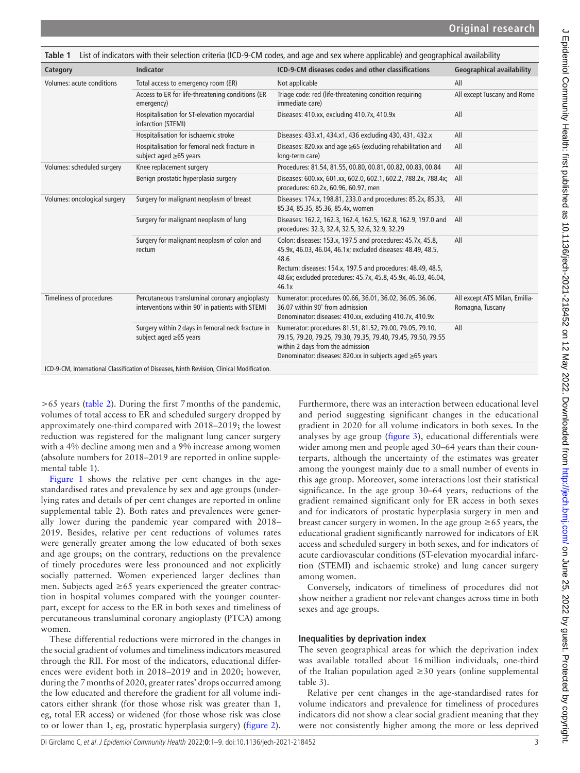<span id="page-2-0"></span>

| Table 1                      |                                                                                                   | List of indicators with their selection criteria (ICD-9-CM codes, and age and sex where applicable) and geographical availability                                                                                                                                          |                                                   |
|------------------------------|---------------------------------------------------------------------------------------------------|----------------------------------------------------------------------------------------------------------------------------------------------------------------------------------------------------------------------------------------------------------------------------|---------------------------------------------------|
| Category                     | <b>Indicator</b>                                                                                  | ICD-9-CM diseases codes and other classifications                                                                                                                                                                                                                          | <b>Geographical availability</b>                  |
| Volumes: acute conditions    | Total access to emergency room (ER)                                                               | Not applicable                                                                                                                                                                                                                                                             | All                                               |
|                              | Access to ER for life-threatening conditions (ER<br>emergency)                                    | Triage code: red (life-threatening condition requiring<br>immediate care)                                                                                                                                                                                                  | All except Tuscany and Rome                       |
|                              | Hospitalisation for ST-elevation myocardial<br>infarction (STEMI)                                 | Diseases: 410.xx, excluding 410.7x, 410.9x                                                                                                                                                                                                                                 | All                                               |
|                              | Hospitalisation for ischaemic stroke                                                              | Diseases: 433.x1, 434.x1, 436 excluding 430, 431, 432.x                                                                                                                                                                                                                    | All                                               |
|                              | Hospitalisation for femoral neck fracture in<br>subject aged ≥65 years                            | Diseases: 820.xx and age $\geq$ 65 (excluding rehabilitation and<br>long-term care)                                                                                                                                                                                        | All                                               |
| Volumes: scheduled surgery   | Knee replacement surgery                                                                          | Procedures: 81.54, 81.55, 00.80, 00.81, 00.82, 00.83, 00.84                                                                                                                                                                                                                | All                                               |
|                              | Benign prostatic hyperplasia surgery                                                              | Diseases: 600.xx, 601.xx, 602.0, 602.1, 602.2, 788.2x, 788.4x; All<br>procedures: 60.2x, 60.96, 60.97, men                                                                                                                                                                 |                                                   |
| Volumes: oncological surgery | Surgery for malignant neoplasm of breast                                                          | Diseases: 174.x, 198.81, 233.0 and procedures: 85.2x, 85.33,<br>85.34, 85.35, 85.36, 85.4x, women                                                                                                                                                                          | All                                               |
|                              | Surgery for malignant neoplasm of lung                                                            | Diseases: 162.2, 162.3, 162.4, 162.5, 162.8, 162.9, 197.0 and<br>procedures: 32.3, 32.4, 32.5, 32.6, 32.9, 32.29                                                                                                                                                           | All                                               |
|                              | Surgery for malignant neoplasm of colon and<br>rectum                                             | Colon: diseases: 153.x, 197.5 and procedures: 45.7x, 45.8,<br>45.9x, 46.03, 46.04, 46.1x; excluded diseases: 48.49, 48.5,<br>48.6<br>Rectum: diseases: 154.x, 197.5 and procedures: 48.49, 48.5,<br>48.6x; excluded procedures: 45.7x, 45.8, 45.9x, 46.03, 46.04,<br>46.1x | All                                               |
| Timeliness of procedures     | Percutaneous transluminal coronary angioplasty<br>interventions within 90' in patients with STEMI | Numerator: procedures 00.66, 36.01, 36.02, 36.05, 36.06,<br>36.07 within 90' from admission<br>Denominator: diseases: 410.xx, excluding 410.7x, 410.9x                                                                                                                     | All except ATS Milan, Emilia-<br>Romagna, Tuscany |
|                              | Surgery within 2 days in femoral neck fracture in<br>subject aged ≥65 years                       | Numerator: procedures 81.51, 81.52, 79.00, 79.05, 79.10,<br>79.15, 79.20, 79.25, 79.30, 79.35, 79.40, 79.45, 79.50, 79.55<br>within 2 days from the admission<br>Denominator: diseases: 820.xx in subjects aged ≥65 years                                                  | All                                               |
|                              | ICD-9-CM, International Classification of Diseases, Ninth Revision, Clinical Modification.        |                                                                                                                                                                                                                                                                            |                                                   |

>65 years ([table](#page-3-0) 2). During the first 7months of the pandemic, volumes of total access to ER and scheduled surgery dropped by approximately one-third compared with 2018–2019; the lowest reduction was registered for the malignant lung cancer surgery with a 4% decline among men and a 9% increase among women (absolute numbers for 2018–2019 are reported in [online supple](https://dx.doi.org/10.1136/jech-2021-218452)[mental table 1\)](https://dx.doi.org/10.1136/jech-2021-218452).

[Figure](#page-5-0) 1 shows the relative per cent changes in the agestandardised rates and prevalence by sex and age groups (underlying rates and details of per cent changes are reported in [online](https://dx.doi.org/10.1136/jech-2021-218452)  [supplemental table 2\)](https://dx.doi.org/10.1136/jech-2021-218452). Both rates and prevalences were generally lower during the pandemic year compared with 2018– 2019. Besides, relative per cent reductions of volumes rates were generally greater among the low educated of both sexes and age groups; on the contrary, reductions on the prevalence of timely procedures were less pronounced and not explicitly socially patterned. Women experienced larger declines than men. Subjects aged  $\geq 65$  years experienced the greater contraction in hospital volumes compared with the younger counterpart, except for access to the ER in both sexes and timeliness of percutaneous transluminal coronary angioplasty (PTCA) among women.

These differential reductions were mirrored in the changes in the social gradient of volumes and timeliness indicators measured through the RII. For most of the indicators, educational differences were evident both in 2018–2019 and in 2020; however, during the 7months of 2020, greater rates' drops occurred among the low educated and therefore the gradient for all volume indicators either shrank (for those whose risk was greater than 1, eg, total ER access) or widened (for those whose risk was close to or lower than 1, eg, prostatic hyperplasia surgery) ([figure](#page-6-0) 2).

Furthermore, there was an interaction between educational level and period suggesting significant changes in the educational gradient in 2020 for all volume indicators in both sexes. In the analyses by age group [\(figure](#page-6-1) 3), educational differentials were wider among men and people aged 30–64 years than their counterparts, although the uncertainty of the estimates was greater among the youngest mainly due to a small number of events in this age group. Moreover, some interactions lost their statistical significance. In the age group 30–64 years, reductions of the gradient remained significant only for ER access in both sexes and for indicators of prostatic hyperplasia surgery in men and breast cancer surgery in women. In the age group  $\geq 65$  years, the educational gradient significantly narrowed for indicators of ER access and scheduled surgery in both sexes, and for indicators of acute cardiovascular conditions (ST-elevation myocardial infarction (STEMI) and ischaemic stroke) and lung cancer surgery among women.

Conversely, indicators of timeliness of procedures did not show neither a gradient nor relevant changes across time in both sexes and age groups.

#### **Inequalities by deprivation index**

The seven geographical areas for which the deprivation index was available totalled about 16million individuals, one-third of the Italian population aged  $\geq$  30 years ([online supplemental](https://dx.doi.org/10.1136/jech-2021-218452) [table 3\)](https://dx.doi.org/10.1136/jech-2021-218452).

Relative per cent changes in the age-standardised rates for volume indicators and prevalence for timeliness of procedures indicators did not show a clear social gradient meaning that they were not consistently higher among the more or less deprived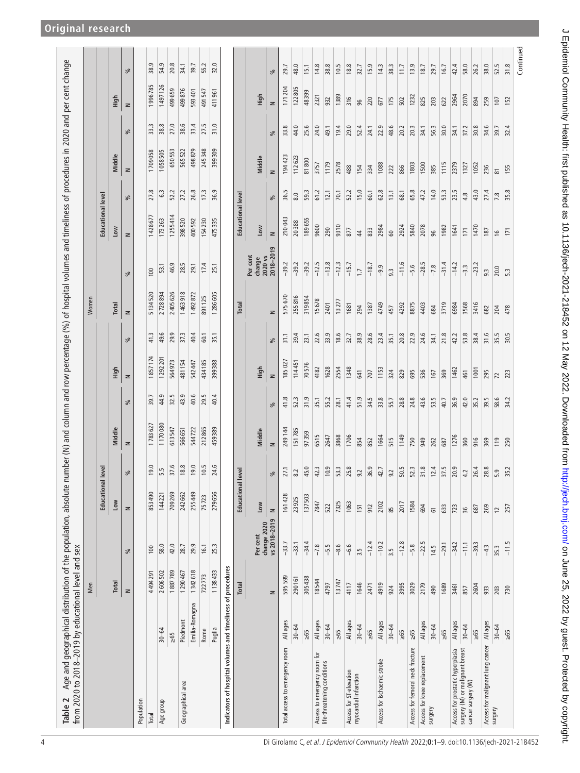|                                                                     |                | Men     |                             |                          |                                               |         |      |                |      | Women        |                      |                          |      |                |      |         |      |
|---------------------------------------------------------------------|----------------|---------|-----------------------------|--------------------------|-----------------------------------------------|---------|------|----------------|------|--------------|----------------------|--------------------------|------|----------------|------|---------|------|
|                                                                     |                |         |                             | <b>Educational level</b> |                                               |         |      |                |      |              |                      | Educational level        |      |                |      |         |      |
|                                                                     |                | Total   |                             | Low                      |                                               | Middle  |      | High           |      | Total        |                      | Low                      |      | Middle         |      | High    |      |
|                                                                     |                | $\geq$  | వ్                          | $\geq$                   | వ్                                            | $\geq$  | వ్   | $\geq$         | వ్   | $\geq$       | వ్                   | $\geq$                   | ್ಲೆ  | $\geq$         | వ్   | $\geq$  | వ్   |
| Population                                                          |                |         |                             |                          |                                               |         |      |                |      |              |                      |                          |      |                |      |         |      |
| Total                                                               |                | 4494291 | 100                         | 853490                   | 19.0                                          | 1783627 | 39.7 | 1857174        | 41.3 | 5134520      | 100                  | 1428677                  | 27.8 | 1709058        | 33.3 | 1996785 | 38.9 |
| Age group                                                           | $30 - 64$      | 2606502 | 58.0                        | 144221                   | 5.5                                           | 1170080 | 44.9 | 1292201        | 49.6 | 2728894      | 53.1                 | 173263                   | 6.3  | 1058505        | 38.8 | 1497126 | 54.9 |
|                                                                     | $\geq 65$      | 1887789 | 42.0                        | 709269                   | 37.6                                          | 613547  | 32.5 | 564973         | 29.9 | 2405626      | 46.9                 | 1255414                  | 52.2 | 650553         | 27.0 | 499659  | 20.8 |
| Geographical area                                                   | Piedmont       | 1290467 | 28.7                        | 242662                   | 18.8                                          | 566651  | 43.9 | 481154         | 37.3 | 1463918      | 28.5                 | 398520                   | 27.2 | 565522         | 38.6 | 499876  | 34.1 |
|                                                                     | Emilia-Romagna | 1342618 | 29.9                        | 255449                   | 19.0                                          | 544722  | 40.6 | 542447         | 40.4 | 1492872      | 29.1                 | 400592                   | 26.8 | 498879         | 33.4 | 593401  | 39.7 |
|                                                                     | Rome           | 722773  | 16.1                        | 75723                    | 10.5                                          | 212865  | 29.5 | 434185         | 60.1 | 891125       | 17.4                 | 154230                   | 17.3 | 245348         | 27.5 | 491547  | 55.2 |
|                                                                     | Puglia         | 1138433 | 25.3                        | 279656                   | 24.6                                          | 459389  | 40.4 | 399388         | 35.1 | 1286605      | 25.1                 | 475335                   | 36.9 | 399309         | 31.0 | 411961  | 32.0 |
| Indicators of hospital volumes and timeliness of procedures         |                |         |                             |                          |                                               |         |      |                |      |              |                      |                          |      |                |      |         |      |
|                                                                     |                | Total   |                             | Educational level        |                                               |         |      |                |      | Total        |                      | <b>Educational level</b> |      |                |      |         |      |
|                                                                     |                |         | Per cent                    | Low                      |                                               | Middle  |      | High           |      |              | Per cent<br>change   | Low                      |      | Middle         |      | High    |      |
|                                                                     |                | z       | vs 2018-2019<br>change 2020 | $\mathbf{z}$             | ೫                                             | $\geq$  | వ్   | $\geq$         | వ్   | $\mathbf{z}$ | 2018-2019<br>2020 vs | $\geq$                   | వ్   | $\geq$         | వ్   | $\geq$  | వ్   |
| Total access to emergency room                                      | All ages       | 595 599 | $-33.7$                     | 161 428                  | 27.1                                          | 249144  | 41.8 | 185 027        | 31.1 | 575 670      | $-39.2$              | 210043                   | 36.5 | 194423         | 33.8 | 171 204 | 29.7 |
|                                                                     | $30 - 64$      | 290161  | $-33.1$                     | 23925                    | $8.2\,$                                       | 151785  | 52.3 | 114451         | 39.4 | 255816       | $-39.2$              | 20388                    | 8.0  | 112623         | 44.0 | 122805  | 48.0 |
|                                                                     | $\geq 65$      | 305438  | $-34.4$                     | 137503                   | 45.0                                          | 97359   | 31.9 | 70576          | 23.1 | 319854       | $-39.2$              | 189655                   | 59.3 | 81800          | 25.6 | 48399   | 15.1 |
| Access to emergency room for                                        | All ages       | 18544   | $-7.8$                      | 7847                     | 42.3                                          | 6515    | 35.1 | 4182           | 22.6 | 15678        | $-12.5$              | 9600                     | 61.2 | 3757           | 24.0 | 2321    | 14.8 |
| life-threatening conditions                                         | $30 - 64$      | 4797    | $-5.5$                      | 522                      | 10.9                                          | 2647    | 55.2 | 1628           | 33.9 | 2401         | $-13.8$              | 290                      | 12.1 | 1179           | 49.1 | 932     | 38.8 |
|                                                                     | $\geq 65$      | 13747   | $-8.6$                      | 7325                     | 53.3                                          | 3868    | 28.1 | 2554           | 18.6 | 13277        | $-12.3$              | 9310                     | 70.1 | 2578           | 19.4 | 1389    | 10.5 |
| Access for ST-elevation<br>myocardial infarction                    | All ages       | 4117    | 0.6<br>ا                    | 1063                     | 25.8                                          | 1706    | 41.4 | 1348           | 32.7 | 1681         | $-15.7$              | 877                      | 52.2 | 488            | 29.0 | 316     | 18.8 |
|                                                                     | $30 - 64$      | 1646    | 3.5                         | 151                      | 9.2                                           | 854     | 51.9 | 641            | 38.9 | 294          | $\overline{1}$       | $\ddot{a}$               | 15.0 | 154            | 52.4 | 96      | 32.7 |
|                                                                     | $\geq 65$      | 2471    | $-12.4$                     | 912                      | $\frac{36.9}{42.7}$                           | 852     | 34.5 | 707            | 28.6 | 1387         | $-18.7$              | 833                      | 60.1 | 334            | 24.1 | 220     | 15.9 |
| Access for ischaemic stroke                                         | All ages       | 4919    | $-10.2$                     | 2102                     |                                               | 1664    | 33.8 | 1153           | 23.4 | 4749         | $-9.9$               | 2984                     | 62.8 | 1088           | 22.9 | 677     | 14.3 |
|                                                                     | $30 - 64$      | 924     | 3.5                         | 85                       | 9.2                                           | 515     | 55.7 | 324            | 35.1 | 457          | 9.3                  | 60                       | 13.1 | 222            | 48.6 | 175     | 38.3 |
|                                                                     | $\geq 65$      | 3995    | $-12.8$                     | 2017                     | $\begin{array}{c c} 50.5 \\ 52.3 \end{array}$ | 1149    | 28.8 | 829            | 20.8 | 4292         | $-11.6$              | 2924                     | 68.1 | 866            | 20.2 | 502     | 11.7 |
| Access for femoral neck fracture                                    | $\geq 65$      | 3029    | $-5.8$                      | 1584                     | 52                                            | 750     | 24.8 | 695            | 22.9 | 8875         | $-5.6$               | 5840                     | 65.8 | 1803           | 20.3 | 1232    | 13.9 |
| Access for knee replacement                                         | All ages       | 2179    | $-22.5$                     | 694                      | 31.8                                          | 949     | 43.6 | 536            | 24.6 | 4403         | $-28.5$              | 2078                     | 47.2 | 1500           | 34.1 | 825     | 18.7 |
| surgery                                                             | $30 - 64$      | 490     | 14.5                        | 51                       | 12.4                                          | 262     | 53.5 | 167            | 34.1 | 684          | $-7.8$               | 96                       | 14.0 | 385            | 56.3 | 203     | 29.7 |
|                                                                     | $\geq 65$      | 1689    | $-29.1$                     | 633                      | L.<br>57.                                     | 687     | 40.7 | 369            | 21.8 | 3719         | $-31.4$              | 1982                     | 53.3 | 1115           | 30.0 | 622     | 16.7 |
| Access for prostatic hyperplasia<br>surgery (M) or malignant breast | All ages       | 3461    | $-34.2$                     | 723                      | 20.9                                          | 1276    | 36.9 | 1462           | 42.2 | 6984         | $-14.2$              | 1641                     | 23.5 | 2379           | 34.1 | 2964    | 42.4 |
| cancer surgery (W)                                                  | $30 - 64$      | 857     | $-11.1$                     | 36                       | 42                                            | 360     | 42.0 | 461            | 53.8 | 3568         | $-3.3$               | 171                      | 4.8  | 1327           | 37.2 | 2070    | 58.0 |
|                                                                     | $\geq 65$      | 2604    | $-39.3$                     | 687                      | $\frac{26.4}{28.8}$                           | 916     | 35.2 | 1001           | 38.4 | 3416         | $-23.2$              | 1470                     | 43.0 | 1052           | 30.8 | 894     | 26.2 |
| Access for malignant lung cancer All ages<br>surgery                |                | 933     | $-4.3$                      | 269                      |                                               | 369     | 39.5 | 295            | 31.6 | 682          | 9.3                  | 187                      | 27.4 | 236            | 34.6 | 259     | 38.0 |
|                                                                     | $30 - 64$      | 203     | 35.3                        | $\overline{c}$           | 5.9                                           | 119     | 58.6 | $\overline{z}$ | 35.5 | 204          | 20.0                 | $\frac{9}{2}$            | 7.8  | $\overline{8}$ | 39.7 | 107     | 52.5 |
|                                                                     | $\geq 65$      | 730     | $-11.5$                     | 257                      | 35.2                                          | 250     | 34.2 | 223            | 30.5 | 478          | 5.3                  | 171                      | 35.8 | 155            | 32.4 | 152     | 31.8 |

## **Original research**

<span id="page-3-0"></span>4 Di Girolamo C, et al. J Epidemiol Community Health 2022;**0**:1–9. doi:10.1136/jech-2021-218452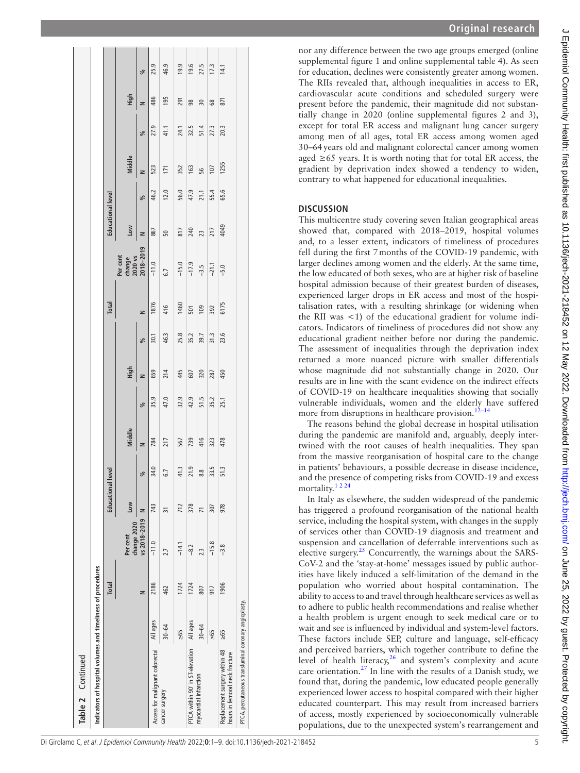| Table 2 Continued                                               |           |       |                         |                |               |        |      |      |      |              |                                            |                          |      |        |      |      |      |
|-----------------------------------------------------------------|-----------|-------|-------------------------|----------------|---------------|--------|------|------|------|--------------|--------------------------------------------|--------------------------|------|--------|------|------|------|
| Indicators of hospital volumes and timeliness of procedures     |           |       |                         |                |               |        |      |      |      |              |                                            |                          |      |        |      |      |      |
|                                                                 |           | Total |                         | Educational    | level         |        |      |      |      | <b>Total</b> |                                            | <b>Educational level</b> |      |        |      |      |      |
|                                                                 |           |       | change 2020<br>Per cent | Low            |               | Middle |      | High |      |              | Per cent<br>change<br>2020 vs<br>2018–2019 | Low                      |      | Middle |      | High |      |
|                                                                 |           | z     | vs 2018-2019            | z              | $\frac{9}{6}$ | z      | ್ಗೆ  | z    | ್ಗೆ  | z            |                                            | z                        | ್ಗೆ  | z      | ್ಗೆ  | z    | ℅    |
| Access for malignant colorectal                                 | All ages  | 2186  | $-11.0$                 | 743            | 34.0          | 784    | 35.9 | 659  | 30.1 | 1876         | $-11.0$                                    | 867                      | 46.2 | 523    | 27.9 | 486  | 25.9 |
| cancer surgery                                                  | $30 - 64$ | 462   | 2.7                     | 31             | 6.7           | 217    | 47.0 | 214  | 46.3 | 416          | 6.7                                        | 50                       | 12.0 | 171    | 41.1 | 195  | 46.9 |
|                                                                 | $\geq 65$ | 1724  | $-14.1$                 | 712            | 41.3          | 567    | 32.9 | 445  | 25.8 | 1460         | $-15.0$                                    | 817                      | 56.0 | 352    | 24.1 | 291  | 19.9 |
| PTCA within 90' in ST-elevation All ages                        |           | 1724  | $-8.2$                  | 378            | 21.9          | 739    | 42.9 | 607  | 35.2 | 501          | $-17.9$                                    | 240                      | 47.9 | 163    | 32.5 | 98   | 19.6 |
| myocardial infarction                                           | $30 - 64$ | 807   | 2.3                     | $\overline{7}$ | 8.8           | 416    | 51.5 | 320  | 39.7 | 109          | $-3.5$                                     | 23                       | 21.1 | 56     | 51.4 | 30   | 27.5 |
|                                                                 | $\geq 65$ | 917   | $-15.8$                 | 307            | 33.5          | 323    | 35.2 | 287  | 31.3 | 392          | $-21.1$                                    | 217                      | 55.4 | 107    | 27.3 | 68   | 17.3 |
| Replacement surgery within 48<br>hours in femoral neck fracture | $\geq 65$ | 1906  | $-3.8$                  | 978            | 51.3          | 478    | 25.1 | 450  | 23.6 | 6175         | $-5.0$                                     | 4049                     | 65.6 | 1255   | 20.3 | 871  | 14.1 |
| PTCA, percutaneous transluminal coronary angioplasty.           |           |       |                         |                |               |        |      |      |      |              |                                            |                          |      |        |      |      |      |
|                                                                 |           |       |                         |                |               |        |      |      |      |              |                                            |                          |      |        |      |      |      |

nor any difference between the two age groups emerged [\(online](https://dx.doi.org/10.1136/jech-2021-218452) [supplemental figure 1](https://dx.doi.org/10.1136/jech-2021-218452) and [online supplemental table 4\)](https://dx.doi.org/10.1136/jech-2021-218452). As seen for education, declines were consistently greater among women. The RIIs revealed that, although inequalities in access to ER, cardiovascular acute conditions and scheduled surgery were present before the pandemic, their magnitude did not substantially change in 2020 ([online supplemental figures 2 and 3\)](https://dx.doi.org/10.1136/jech-2021-218452), except for total ER access and malignant lung cancer surgery among men of all ages, total ER access among women aged 30–64years old and malignant colorectal cancer among women aged  $\geq 65$  years. It is worth noting that for total ER access, the gradient by deprivation index showed a tendency to widen, contrary to what happened for educational inequalities.

### **Discussion**

This multicentre study covering seven Italian geographical areas showed that, compared with 2018–2019, hospital volumes and, to a lesser extent, indicators of timeliness of procedures fell during the first 7months of the COVID-19 pandemic, with larger declines among women and the elderly. At the same time, the low educated of both sexes, who are at higher risk of baseline hospital admission because of their greatest burden of diseases, experienced larger drops in ER access and most of the hospitalisation rates, with a resulting shrinkage (or widening when the RII was  $\lt 1$ ) of the educational gradient for volume indicators. Indicators of timeliness of procedures did not show any educational gradient neither before nor during the pandemic. The assessment of inequalities through the deprivation index returned a more nuanced picture with smaller differentials whose magnitude did not substantially change in 2020. Our results are in line with the scant evidence on the indirect effects of COVID-19 on healthcare inequalities showing that socially vulnerable individuals, women and the elderly have suffered more from disruptions in healthcare provision.<sup>[12–14](#page-8-7)</sup>

The reasons behind the global decrease in hospital utilisation during the pandemic are manifold and, arguably, deeply intertwined with the root causes of health inequalities. They span from the massive reorganisation of hospital care to the change in patients' behaviours, a possible decrease in disease incidence, and the presence of competing risks from COVID-19 and excess mortality.[1 2 24](#page-8-0)

In Italy as elsewhere, the sudden widespread of the pandemic has triggered a profound reorganisation of the national health service, including the hospital system, with changes in the supply of services other than COVID-19 diagnosis and treatment and suspension and cancellation of deferrable interventions such as elective surgery. $25$  Concurrently, the warnings about the SARS-CoV-2 and the 'stay-at-home' messages issued by public authorities have likely induced a self-limitation of the demand in the population who worried about hospital contamination. The ability to access to and travel through healthcare services as well as to adhere to public health recommendations and realise whether a health problem is urgent enough to seek medical care or to wait and see is influenced by individual and system-level factors. These factors include SEP, culture and language, self-efficacy and perceived barriers, which together contribute to define the level of health literacy, $26$  and system's complexity and acute care orientation.[27](#page-8-19) In line with the results of a Danish study, we found that, during the pandemic, low educated people generally experienced lower access to hospital compared with their higher educated counterpart. This may result from increased barriers of access, mostly experienced by socioeconomically vulnerable populations, due to the unexpected system's rearrangement and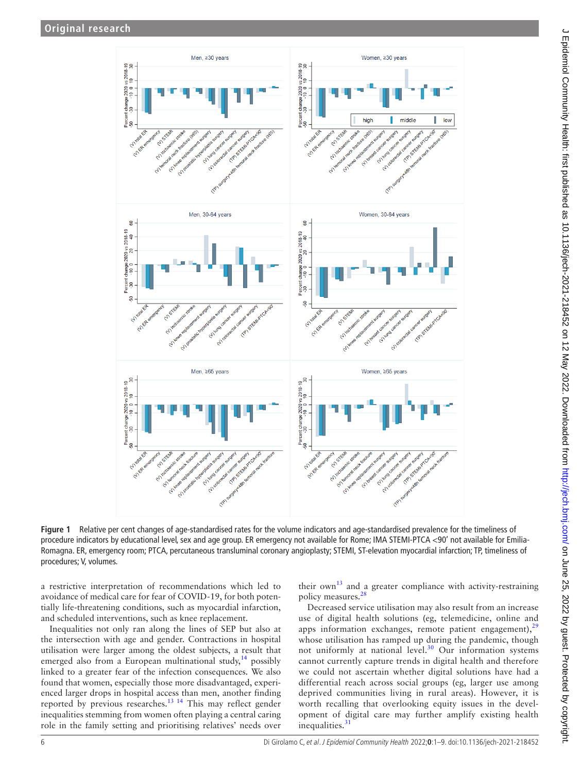

**Figure 1** Relative per cent changes of age-standardised rates for the volume indicators and age-standardised prevalence for the timeliness of procedure indicators by educational level, sex and age group. ER emergency not available for Rome; IMA STEMI-PTCA <90' not available for Emilia-Romagna. ER, emergency room; PTCA, percutaneous transluminal coronary angioplasty; STEMI, ST-elevation myocardial infarction; TP, timeliness of procedures; V, volumes.

a restrictive interpretation of recommendations which led to avoidance of medical care for fear of COVID-19, for both potentially life-threatening conditions, such as myocardial infarction, and scheduled interventions, such as knee replacement.

Inequalities not only ran along the lines of SEP but also at the intersection with age and gender. Contractions in hospital utilisation were larger among the oldest subjects, a result that emerged also from a European multinational study,  $14$  possibly linked to a greater fear of the infection consequences. We also found that women, especially those more disadvantaged, experienced larger drops in hospital access than men, another finding reported by previous researches.[13 14](#page-8-21) This may reflect gender inequalities stemming from women often playing a central caring role in the family setting and prioritising relatives' needs over

<span id="page-5-0"></span>their own<sup>13</sup> and a greater compliance with activity-restraining policy measures.<sup>28</sup>

Decreased service utilisation may also result from an increase use of digital health solutions (eg, telemedicine, online and apps information exchanges, remote patient engagement), $2<sup>5</sup>$ whose utilisation has ramped up during the pandemic, though not uniformly at national level.<sup>30</sup> Our information systems cannot currently capture trends in digital health and therefore we could not ascertain whether digital solutions have had a differential reach across social groups (eg, larger use among deprived communities living in rural areas). However, it is worth recalling that overlooking equity issues in the development of digital care may further amplify existing health inequalities.<sup>[31](#page-8-25)</sup>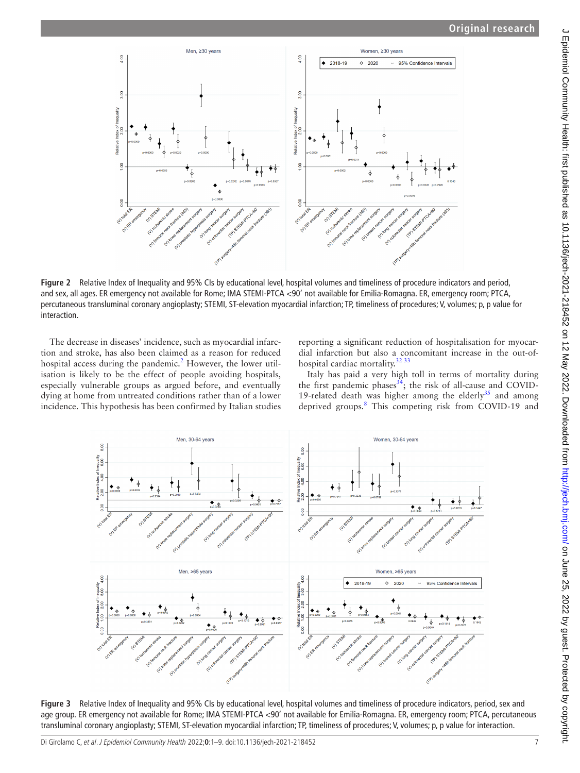

**Figure 2** Relative Index of Inequality and 95% CIs by educational level, hospital volumes and timeliness of procedure indicators and period, and sex, all ages. ER emergency not available for Rome; IMA STEMI-PTCA <90' not available for Emilia-Romagna. ER, emergency room; PTCA, percutaneous transluminal coronary angioplasty; STEMI, ST-elevation myocardial infarction; TP, timeliness of procedures; V, volumes; p, p value for interaction.

The decrease in diseases' incidence, such as myocardial infarction and stroke, has also been claimed as a reason for reduced hospital access during the pandemic.<sup>2</sup> However, the lower utilisation is likely to be the effect of people avoiding hospitals, especially vulnerable groups as argued before, and eventually dying at home from untreated conditions rather than of a lower incidence. This hypothesis has been confirmed by Italian studies <span id="page-6-0"></span>reporting a significant reduction of hospitalisation for myocardial infarction but also a concomitant increase in the out-of-hospital cardiac mortality.<sup>[32 33](#page-8-27)</sup>

Italy has paid a very high toll in terms of mortality during the first pandemic phases $34$ ; the risk of all-cause and COVID-19-related death was higher among the elderly $35$  and among deprived groups.<sup>[8](#page-8-5)</sup> This competing risk from COVID-19 and



<span id="page-6-1"></span>**Figure 3** Relative Index of Inequality and 95% CIs by educational level, hospital volumes and timeliness of procedure indicators, period, sex and age group. ER emergency not available for Rome; IMA STEMI-PTCA <90' not available for Emilia-Romagna. ER, emergency room; PTCA, percutaneous transluminal coronary angioplasty; STEMI, ST-elevation myocardial infarction; TP, timeliness of procedures; V, volumes; p, p value for interaction.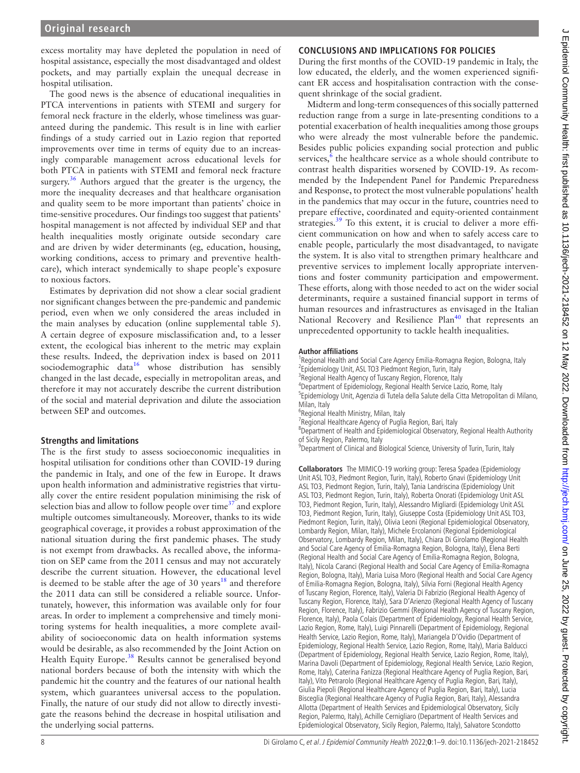excess mortality may have depleted the population in need of hospital assistance, especially the most disadvantaged and oldest pockets, and may partially explain the unequal decrease in hospital utilisation.

The good news is the absence of educational inequalities in PTCA interventions in patients with STEMI and surgery for femoral neck fracture in the elderly, whose timeliness was guaranteed during the pandemic. This result is in line with earlier findings of a study carried out in Lazio region that reported improvements over time in terms of equity due to an increasingly comparable management across educational levels for both PTCA in patients with STEMI and femoral neck fracture surgery. $36$  Authors argued that the greater is the urgency, the more the inequality decreases and that healthcare organisation and quality seem to be more important than patients' choice in time-sensitive procedures. Our findings too suggest that patients' hospital management is not affected by individual SEP and that health inequalities mostly originate outside secondary care and are driven by wider determinants (eg, education, housing, working conditions, access to primary and preventive healthcare), which interact syndemically to shape people's exposure to noxious factors.

Estimates by deprivation did not show a clear social gradient nor significant changes between the pre-pandemic and pandemic period, even when we only considered the areas included in the main analyses by education ([online supplemental table 5](https://dx.doi.org/10.1136/jech-2021-218452)). A certain degree of exposure misclassification and, to a lesser extent, the ecological bias inherent to the metric may explain these results. Indeed, the deprivation index is based on 2011 sociodemographic data<sup>[16](#page-8-9)</sup> whose distribution has sensibly changed in the last decade, especially in metropolitan areas, and therefore it may not accurately describe the current distribution of the social and material deprivation and dilute the association between SEP and outcomes.

#### **Strengths and limitations**

The is the first study to assess socioeconomic inequalities in hospital utilisation for conditions other than COVID-19 during the pandemic in Italy, and one of the few in Europe. It draws upon health information and administrative registries that virtually cover the entire resident population minimising the risk of selection bias and allow to follow people over time<sup> $37$ </sup> and explore multiple outcomes simultaneously. Moreover, thanks to its wide geographical coverage, it provides a robust approximation of the national situation during the first pandemic phases. The study is not exempt from drawbacks. As recalled above, the information on SEP came from the 2011 census and may not accurately describe the current situation. However, the educational level is deemed to be stable after the age of 30 years<sup>[18](#page-8-11)</sup> and therefore the 2011 data can still be considered a reliable source. Unfortunately, however, this information was available only for four areas. In order to implement a comprehensive and timely monitoring systems for health inequalities, a more complete availability of socioeconomic data on health information systems would be desirable, as also recommended by the Joint Action on Health Equity Europe.<sup>38</sup> Results cannot be generalised beyond national borders because of both the intensity with which the pandemic hit the country and the features of our national health system, which guarantees universal access to the population. Finally, the nature of our study did not allow to directly investigate the reasons behind the decrease in hospital utilisation and the underlying social patterns.

## **Conclusions and implications for policies**

During the first months of the COVID-19 pandemic in Italy, the low educated, the elderly, and the women experienced significant ER access and hospitalisation contraction with the consequent shrinkage of the social gradient.

Midterm and long-term consequences of this socially patterned reduction range from a surge in late-presenting conditions to a potential exacerbation of health inequalities among those groups who were already the most vulnerable before the pandemic. Besides public policies expanding social protection and public services,<sup>[6](#page-8-33)</sup> the healthcare service as a whole should contribute to contrast health disparities worsened by COVID-19. As recommended by the Independent Panel for Pandemic Preparedness and Response, to protect the most vulnerable populations' health in the pandemics that may occur in the future, countries need to prepare effective, coordinated and equity-oriented containment strategies. $39$  To this extent, it is crucial to deliver a more efficient communication on how and when to safely access care to enable people, particularly the most disadvantaged, to navigate the system. It is also vital to strengthen primary healthcare and preventive services to implement locally appropriate interventions and foster community participation and empowerment. These efforts, along with those needed to act on the wider social determinants, require a sustained financial support in terms of human resources and infrastructures as envisaged in the Italian National Recovery and Resilience Plan<sup>40</sup> that represents an unprecedented opportunity to tackle health inequalities.

#### **Author affiliations**

<sup>1</sup> Regional Health and Social Care Agency Emilia-Romagna Region, Bologna, Italy<br><sup>2</sup> Enidemialogy Unit, ASL TO2 Biodment Region, Turin, Italy <sup>2</sup>Epidemiology Unit, ASL TO3 Piedmont Region, Turin, Italy <sup>3</sup> Regional Health Agency of Tuscany Region, Florence, Italy 4 Department of Epidemiology, Regional Health Service Lazio, Rome, Italy <sup>5</sup>Epidemiology Unit, Agenzia di Tutela della Salute della Citta Metropolitan di Milano, Milan, Italy

6 Regional Health Ministry, Milan, Italy

<sup>7</sup> Regional Healthcare Agency of Puglia Region, Bari, Italy

8 Department of Health and Epidemiological Observatory, Regional Health Authority of Sicily Region, Palermo, Italy

<sup>9</sup>Department of Clinical and Biological Science, University of Turin, Turin, Italy

**Collaborators** The MIMICO-19 working group: Teresa Spadea (Epidemiology Unit ASL TO3, Piedmont Region, Turin, Italy), Roberto Gnavi (Epidemiology Unit ASL TO3, Piedmont Region, Turin, Italy), Tania Landriscina (Epidemiology Unit ASL TO3, Piedmont Region, Turin, Italy), Roberta Onorati (Epidemiology Unit ASL TO3, Piedmont Region, Turin, Italy), Alessandro Migliardi (Epidemiology Unit ASL TO3, Piedmont Region, Turin, Italy), Giuseppe Costa (Epidemiology Unit ASL TO3, Piedmont Region, Turin, Italy), Olivia Leoni (Regional Epidemiological Observatory, Lombardy Region, Milan, Italy), Michele Ercolanoni (Regional Epidemiological Observatory, Lombardy Region, Milan, Italy), Chiara Di Girolamo (Regional Health and Social Care Agency of Emilia-Romagna Region, Bologna, Italy), Elena Berti (Regional Health and Social Care Agency of Emilia-Romagna Region, Bologna, Italy), Nicola Caranci (Regional Health and Social Care Agency of Emilia-Romagna Region, Bologna, Italy), Maria Luisa Moro (Regional Health and Social Care Agency of Emilia-Romagna Region, Bologna, Italy), Silvia Forni (Regional Health Agency of Tuscany Region, Florence, Italy), Valeria Di Fabrizio (Regional Health Agency of Tuscany Region, Florence, Italy), Sara D'Arienzo (Regional Health Agency of Tuscany Region, Florence, Italy), Fabrizio Gemmi (Regional Health Agency of Tuscany Region, Florence, Italy), Paola Colais (Department of Epidemiology, Regional Health Service, Lazio Region, Rome, Italy), Luigi Pinnarelli (Department of Epidemiology, Regional Health Service, Lazio Region, Rome, Italy), Mariangela D'Ovidio (Department of Epidemiology, Regional Health Service, Lazio Region, Rome, Italy), Maria Balducci (Department of Epidemiology, Regional Health Service, Lazio Region, Rome, Italy), Marina Davoli (Department of Epidemiology, Regional Health Service, Lazio Region, Rome, Italy), Caterina Fanizza (Regional Healthcare Agency of Puglia Region, Bari, Italy), Vito Petrarolo (Regional Healthcare Agency of Puglia Region, Bari, Italy), Giulia Piepoli (Regional Healthcare Agency of Puglia Region, Bari, Italy), Lucia Bisceglia (Regional Healthcare Agency of Puglia Region, Bari, Italy), Alessandra Allotta (Department of Health Services and Epidemiological Observatory, Sicily Region, Palermo, Italy), Achille Cernigliaro (Department of Health Services and Epidemiological Observatory, Sicily Region, Palermo, Italy), Salvatore Scondotto